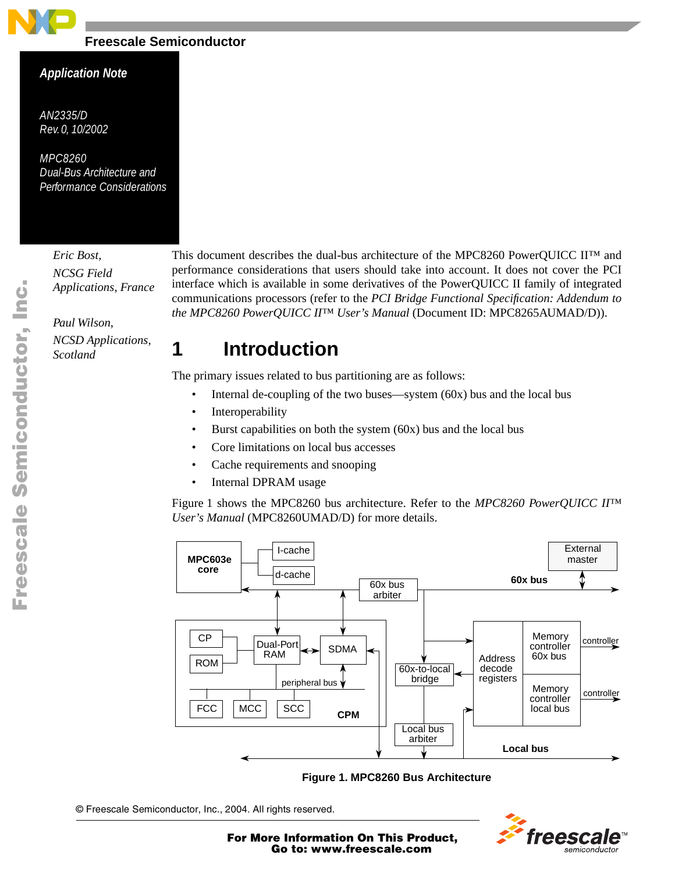

#### **Freescale Semiconductor**

#### *Application Note*

<span id="page-0-1"></span>*AN2335/D Rev. 0, 10/2002*

*MPC8260 Dual-Bus Architecture and Performance Considerations*

*Eric Bost, NCSG Field Applications, France*

*Paul Wilson, NCSD Applications, Scotland*

This document describes the dual-bus architecture of the MPC8260 PowerQUICC II™ and performance considerations that users should take into account. It does not cover the PCI interface which is available in some derivatives of the PowerQUICC II family of integrated communications processors (refer to the *PCI Bridge Functional Specification: Addendum to the MPC8260 PowerQUICC II™ User's Manual* (Document ID: MPC8265AUMAD/D)).

## **1 Introduction**

The primary issues related to bus partitioning are as follows:

- Internal de-coupling of the two buses—system  $(60x)$  bus and the local bus
- Interoperability

© Freescale Semiconductor, Inc., 2004. All rights reserved.

- Burst capabilities on both the system (60x) bus and the local bus
- Core limitations on local bus accesses
- Cache requirements and snooping
- Internal DPRAM usage

[Figure 1](#page-0-0) shows the MPC8260 bus architecture. Refer to the *MPC8260 PowerQUICC II™ User's Manual* (MPC8260UMAD/D) for more details.



**Figure 1. MPC8260 Bus Architecture** 

freeso

<span id="page-0-0"></span>For More Information On This Product, Go to: www.freescale.com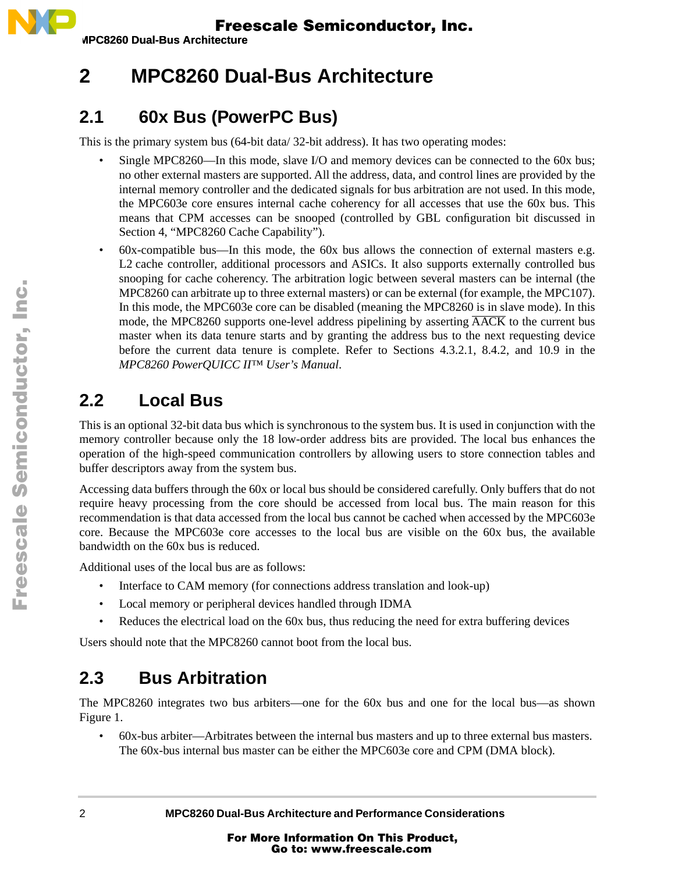

**MPC8260 Dual-Bus Architecture** 

## **2 MPC8260 Dual-Bus Architecture**

### **2.1 60x Bus (PowerPC Bus)**

This is the primary system bus (64-bit data/ 32-bit address). It has two operating modes:

- Single MPC8260—In this mode, slave I/O and memory devices can be connected to the 60x bus; no other external masters are supported. All the address, data, and control lines are provided by the internal memory controller and the dedicated signals for bus arbitration are not used. In this mode, the MPC603e core ensures internal cache coherency for all accesses that use the 60x bus. This means that CPM accesses can be snooped (controlled by GBL configuration bit discussed in [Section 4, "MPC8260 Cache Capability"](#page-4-0)).
- 60x-compatible bus—In this mode, the 60x bus allows the connection of external masters e.g. L2 cache controller, additional processors and ASICs. It also supports externally controlled bus snooping for cache coherency. The arbitration logic between several masters can be internal (the MPC8260 can arbitrate up to three external masters) or can be external (for example, the MPC107). In this mode, the MPC603e core can be disabled (meaning the MPC8260 is in slave mode). In this mode, the MPC8260 supports one-level address pipelining by asserting  $\overline{\text{AACK}}$  to the current bus master when its data tenure starts and by granting the address bus to the next requesting device before the current data tenure is complete. Refer to Sections 4.3.2.1, 8.4.2, and 10.9 in the *MPC8260 PowerQUICC II™ User's Manual*.

## **2.2 Local Bus**

This is an optional 32-bit data bus which is synchronous to the system bus. It is used in conjunction with the memory controller because only the 18 low-order address bits are provided. The local bus enhances the operation of the high-speed communication controllers by allowing users to store connection tables and buffer descriptors away from the system bus.

Accessing data buffers through the 60x or local bus should be considered carefully. Only buffers that do not require heavy processing from the core should be accessed from local bus. The main reason for this recommendation is that data accessed from the local bus cannot be cached when accessed by the MPC603e core. Because the MPC603e core accesses to the local bus are visible on the 60x bus, the available bandwidth on the 60x bus is reduced.

Additional uses of the local bus are as follows:

- Interface to CAM memory (for connections address translation and look-up)
- Local memory or peripheral devices handled through IDMA
- Reduces the electrical load on the 60x bus, thus reducing the need for extra buffering devices

Users should note that the MPC8260 cannot boot from the local bus.

## **2.3 Bus Arbitration**

The MPC8260 integrates two bus arbiters—one for the 60x bus and one for the local bus—as shown [Figure 1.](#page-0-0)

• 60x-bus arbiter—Arbitrates between the internal bus masters and up to three external bus masters. The 60x-bus internal bus master can be either the MPC603e core and CPM (DMA block).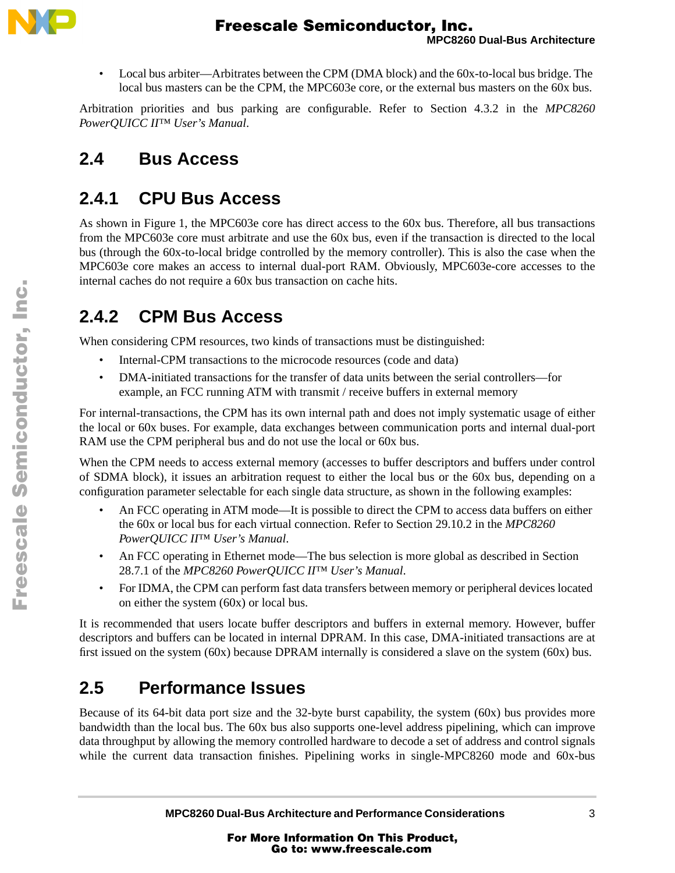

• Local bus arbiter—Arbitrates between the CPM (DMA block) and the 60x-to-local bus bridge. The local bus masters can be the CPM, the MPC603e core, or the external bus masters on the 60x bus.

Arbitration priorities and bus parking are configurable. Refer to Section 4.3.2 in the *MPC8260 PowerQUICC II™ User's Manual*.

### **2.4 Bus Access**

### **2.4.1 CPU Bus Access**

As shown in [Figure 1,](#page-0-0) the MPC603e core has direct access to the 60x bus. Therefore, all bus transactions from the MPC603e core must arbitrate and use the 60x bus, even if the transaction is directed to the local bus (through the 60x-to-local bridge controlled by the memory controller). This is also the case when the MPC603e core makes an access to internal dual-port RAM. Obviously, MPC603e-core accesses to the internal caches do not require a 60x bus transaction on cache hits.

### **2.4.2 CPM Bus Access**

When considering CPM resources, two kinds of transactions must be distinguished:

- Internal-CPM transactions to the microcode resources (code and data)
- DMA-initiated transactions for the transfer of data units between the serial controllers—for example, an FCC running ATM with transmit / receive buffers in external memory

For internal-transactions, the CPM has its own internal path and does not imply systematic usage of either the local or 60x buses. For example, data exchanges between communication ports and internal dual-port RAM use the CPM peripheral bus and do not use the local or 60x bus.

When the CPM needs to access external memory (accesses to buffer descriptors and buffers under control of SDMA block), it issues an arbitration request to either the local bus or the 60x bus, depending on a configuration parameter selectable for each single data structure, as shown in the following examples:

- An FCC operating in ATM mode—It is possible to direct the CPM to access data buffers on either the 60x or local bus for each virtual connection. Refer to Section 29.10.2 in the *MPC8260 PowerQUICC II™ User's Manual*.
- An FCC operating in Ethernet mode—The bus selection is more global as described in Section 28.7.1 of the *MPC8260 PowerQUICC II™ User's Manual*.
- For IDMA, the CPM can perform fast data transfers between memory or peripheral devices located on either the system (60x) or local bus.

It is recommended that users locate buffer descriptors and buffers in external memory. However, buffer descriptors and buffers can be located in internal DPRAM. In this case, DMA-initiated transactions are at first issued on the system (60x) because DPRAM internally is considered a slave on the system (60x) bus.

## **2.5 Performance Issues**

Because of its 64-bit data port size and the 32-byte burst capability, the system (60x) bus provides more bandwidth than the local bus. The 60x bus also supports one-level address pipelining, which can improve data throughput by allowing the memory controlled hardware to decode a set of address and control signals while the current data transaction finishes. Pipelining works in single-MPC8260 mode and 60x-bus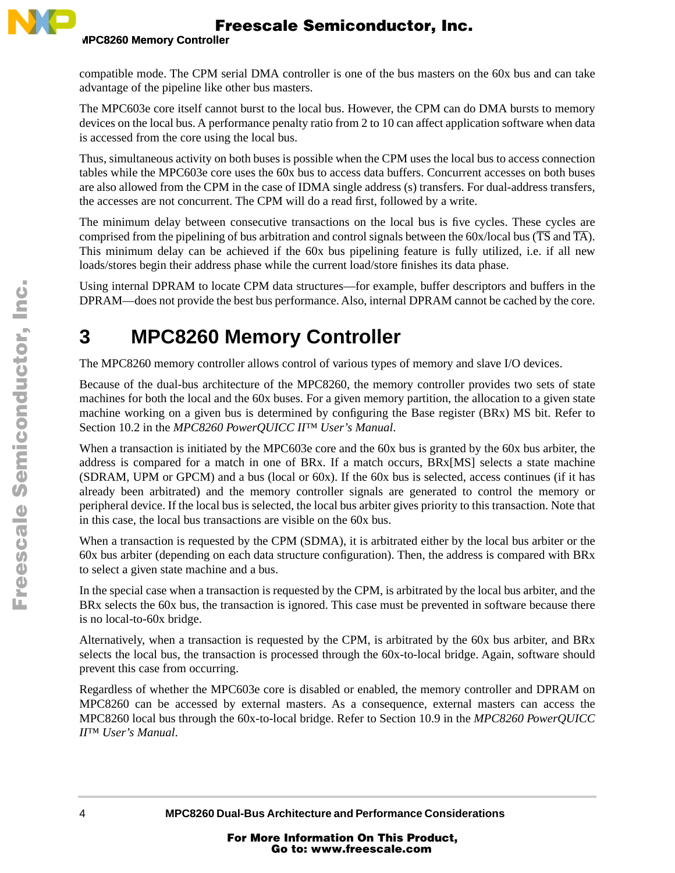

### Freescale Semiconductor, Inc.

compatible mode. The CPM serial DMA controller is one of the bus masters on the 60x bus and can take advantage of the pipeline like other bus masters.

The MPC603e core itself cannot burst to the local bus. However, the CPM can do DMA bursts to memory devices on the local bus. A performance penalty ratio from 2 to 10 can affect application software when data is accessed from the core using the local bus.

Thus, simultaneous activity on both buses is possible when the CPM uses the local bus to access connection tables while the MPC603e core uses the 60x bus to access data buffers. Concurrent accesses on both buses are also allowed from the CPM in the case of IDMA single address (s) transfers. For dual-address transfers, the accesses are not concurrent. The CPM will do a read first, followed by a write.

The minimum delay between consecutive transactions on the local bus is five cycles. These cycles are comprised from the pipelining of bus arbitration and control signals between the 60x/local bus ( $\overline{TS}$  and  $\overline{TA}$ ). This minimum delay can be achieved if the 60x bus pipelining feature is fully utilized, i.e. if all new loads/stores begin their address phase while the current load/store finishes its data phase.

Using internal DPRAM to locate CPM data structures—for example, buffer descriptors and buffers in the DPRAM—does not provide the best bus performance. Also, internal DPRAM cannot be cached by the core.

# **3 MPC8260 Memory Controller**

The MPC8260 memory controller allows control of various types of memory and slave I/O devices.

Because of the dual-bus architecture of the MPC8260, the memory controller provides two sets of state machines for both the local and the 60x buses. For a given memory partition, the allocation to a given state machine working on a given bus is determined by configuring the Base register (BRx) MS bit. Refer to Section 10.2 in the *MPC8260 PowerQUICC II™ User's Manual*.

When a transaction is initiated by the MPC603e core and the 60x bus is granted by the 60x bus arbiter, the address is compared for a match in one of BRx. If a match occurs, BRx[MS] selects a state machine (SDRAM, UPM or GPCM) and a bus (local or 60x). If the 60x bus is selected, access continues (if it has already been arbitrated) and the memory controller signals are generated to control the memory or peripheral device. If the local bus is selected, the local bus arbiter gives priority to this transaction. Note that in this case, the local bus transactions are visible on the 60x bus.

When a transaction is requested by the CPM (SDMA), it is arbitrated either by the local bus arbiter or the 60x bus arbiter (depending on each data structure configuration). Then, the address is compared with BRx to select a given state machine and a bus.

In the special case when a transaction is requested by the CPM, is arbitrated by the local bus arbiter, and the BRx selects the 60x bus, the transaction is ignored. This case must be prevented in software because there is no local-to-60x bridge.

Alternatively, when a transaction is requested by the CPM, is arbitrated by the 60x bus arbiter, and BRx selects the local bus, the transaction is processed through the 60x-to-local bridge. Again, software should prevent this case from occurring.

Regardless of whether the MPC603e core is disabled or enabled, the memory controller and DPRAM on MPC8260 can be accessed by external masters. As a consequence, external masters can access the MPC8260 local bus through the 60x-to-local bridge. Refer to Section 10.9 in the *MPC8260 PowerQUICC II™ User's Manual*.

4 **MPC8260 Dual-Bus Architecture and Performance Considerations**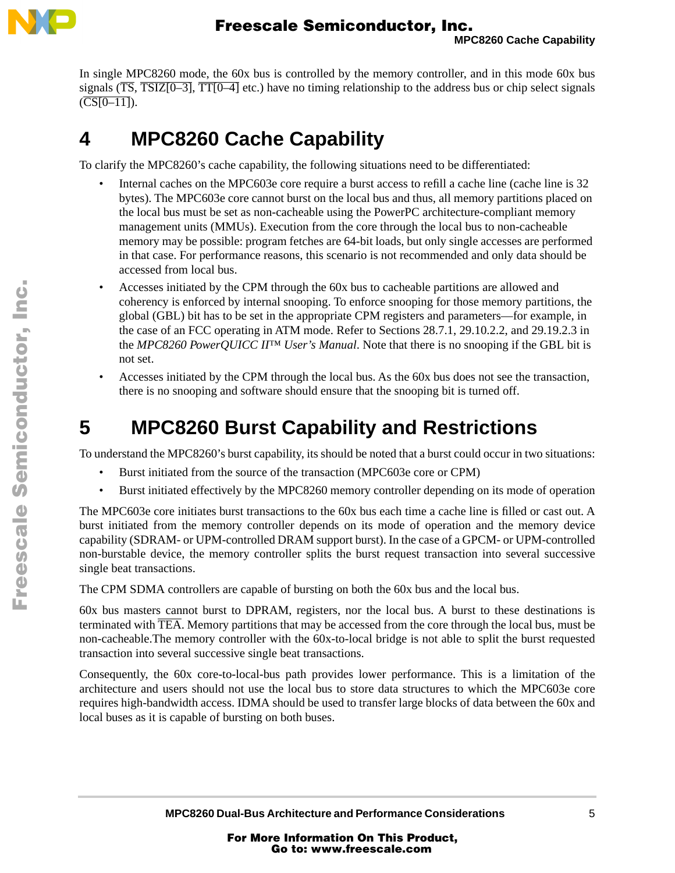

In single MPC8260 mode, the 60x bus is controlled by the memory controller, and in this mode 60x bus signals  $(\overline{TS}, \overline{TSIZ[0-3]}, \overline{TT[0-4]}]$  etc.) have no timing relationship to the address bus or chip select signals  $(\overline{CS[0-11]})$ .

# <span id="page-4-0"></span>**4 MPC8260 Cache Capability**

To clarify the MPC8260's cache capability, the following situations need to be differentiated:

- Internal caches on the MPC603e core require a burst access to refill a cache line (cache line is 32 bytes). The MPC603e core cannot burst on the local bus and thus, all memory partitions placed on the local bus must be set as non-cacheable using the PowerPC architecture-compliant memory management units (MMUs). Execution from the core through the local bus to non-cacheable memory may be possible: program fetches are 64-bit loads, but only single accesses are performed in that case. For performance reasons, this scenario is not recommended and only data should be accessed from local bus.
- Accesses initiated by the CPM through the 60x bus to cacheable partitions are allowed and coherency is enforced by internal snooping. To enforce snooping for those memory partitions, the global (GBL) bit has to be set in the appropriate CPM registers and parameters—for example, in the case of an FCC operating in ATM mode. Refer to Sections 28.7.1, 29.10.2.2, and 29.19.2.3 in the *MPC8260 PowerQUICC II™ User's Manual*. Note that there is no snooping if the GBL bit is not set.
- Accesses initiated by the CPM through the local bus. As the 60x bus does not see the transaction, there is no snooping and software should ensure that the snooping bit is turned off.

# **5 MPC8260 Burst Capability and Restrictions**

To understand the MPC8260's burst capability, its should be noted that a burst could occur in two situations:

- Burst initiated from the source of the transaction (MPC603e core or CPM)
- Burst initiated effectively by the MPC8260 memory controller depending on its mode of operation

The MPC603e core initiates burst transactions to the 60x bus each time a cache line is filled or cast out. A burst initiated from the memory controller depends on its mode of operation and the memory device capability (SDRAM- or UPM-controlled DRAM support burst). In the case of a GPCM- or UPM-controlled non-burstable device, the memory controller splits the burst request transaction into several successive single beat transactions.

The CPM SDMA controllers are capable of bursting on both the 60x bus and the local bus.

60x bus masters cannot burst to DPRAM, registers, nor the local bus. A burst to these destinations is terminated with TEA. Memory partitions that may be accessed from the core through the local bus, must be non-cacheable.The memory controller with the 60x-to-local bridge is not able to split the burst requested transaction into several successive single beat transactions.

Consequently, the 60x core-to-local-bus path provides lower performance. This is a limitation of the architecture and users should not use the local bus to store data structures to which the MPC603e core requires high-bandwidth access. IDMA should be used to transfer large blocks of data between the 60x and local buses as it is capable of bursting on both buses.

r, I

n

.<br>ق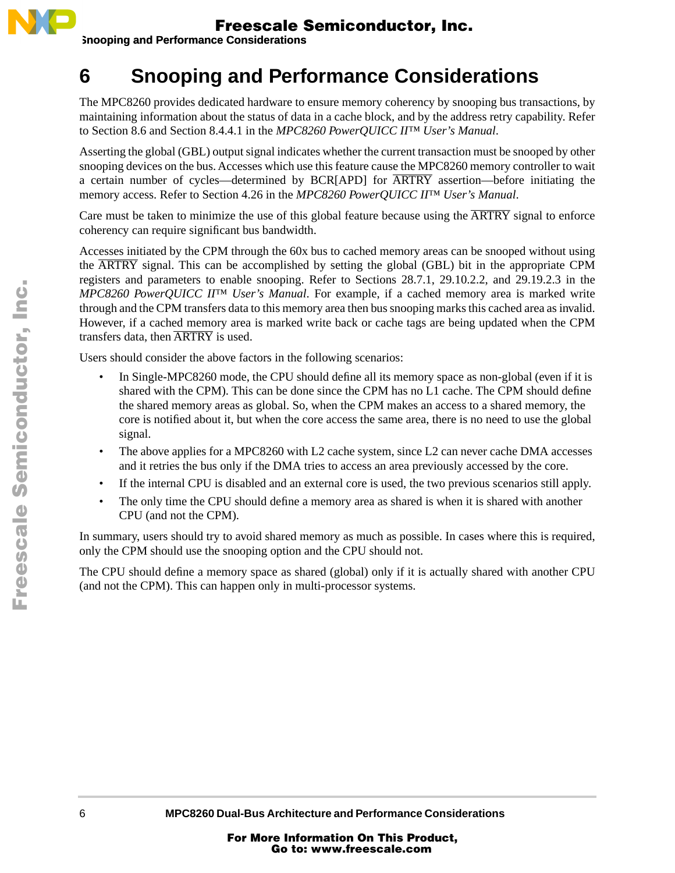

### Freescale Semiconductor, Inc.

**Snooping and Performance Considerations** 

## **6 Snooping and Performance Considerations**

The MPC8260 provides dedicated hardware to ensure memory coherency by snooping bus transactions, by maintaining information about the status of data in a cache block, and by the address retry capability. Refer to Section 8.6 and Section 8.4.4.1 in the *MPC8260 PowerQUICC II™ User's Manual*.

Asserting the global (GBL) output signal indicates whether the current transaction must be snooped by other snooping devices on the bus. Accesses which use this feature cause the MPC8260 memory controller to wait a certain number of cycles—determined by BCR[APD] for ARTRY assertion—before initiating the memory access. Refer to Section 4.26 in the *MPC8260 PowerQUICC II™ User's Manual*.

Care must be taken to minimize the use of this global feature because using the  $\overline{\text{ARTRY}}$  signal to enforce coherency can require significant bus bandwidth.

Accesses initiated by the CPM through the 60x bus to cached memory areas can be snooped without using the ARTRY signal. This can be accomplished by setting the global (GBL) bit in the appropriate CPM registers and parameters to enable snooping. Refer to Sections 28.7.1, 29.10.2.2, and 29.19.2.3 in the *MPC8260 PowerQUICC II™ User's Manual*. For example, if a cached memory area is marked write through and the CPM transfers data to this memory area then bus snooping marks this cached area as invalid. However, if a cached memory area is marked write back or cache tags are being updated when the CPM transfers data, then  $\overline{\text{ARTRY}}$  is used.

Users should consider the above factors in the following scenarios:

- In Single-MPC8260 mode, the CPU should define all its memory space as non-global (even if it is shared with the CPM). This can be done since the CPM has no L1 cache. The CPM should define the shared memory areas as global. So, when the CPM makes an access to a shared memory, the core is notified about it, but when the core access the same area, there is no need to use the global signal.
- The above applies for a MPC8260 with L2 cache system, since L2 can never cache DMA accesses and it retries the bus only if the DMA tries to access an area previously accessed by the core.
- If the internal CPU is disabled and an external core is used, the two previous scenarios still apply.
- The only time the CPU should define a memory area as shared is when it is shared with another CPU (and not the CPM).

In summary, users should try to avoid shared memory as much as possible. In cases where this is required, only the CPM should use the snooping option and the CPU should not.

The CPU should define a memory space as shared (global) only if it is actually shared with another CPU (and not the CPM). This can happen only in multi-processor systems.

Fr  $\boldsymbol{\Phi}$  $\bf \Phi$  $\boldsymbol{\eta}$  $\mathbf 0$ 

ale

 $\boldsymbol{g}$  $\bf \Phi$ 

mic

o n d u  $\mathbf 0$ t o

r, I

n

.<br>ق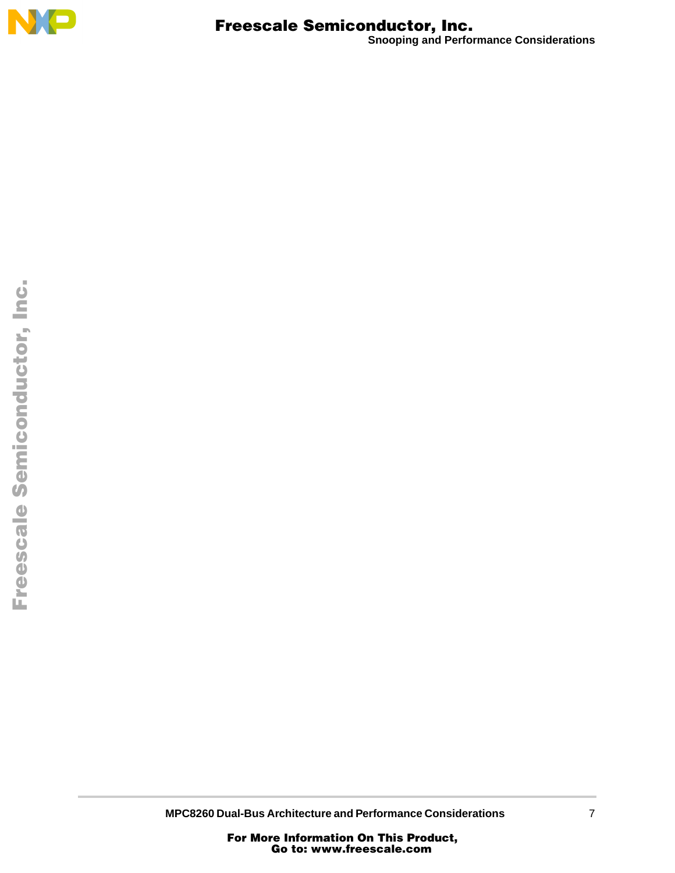